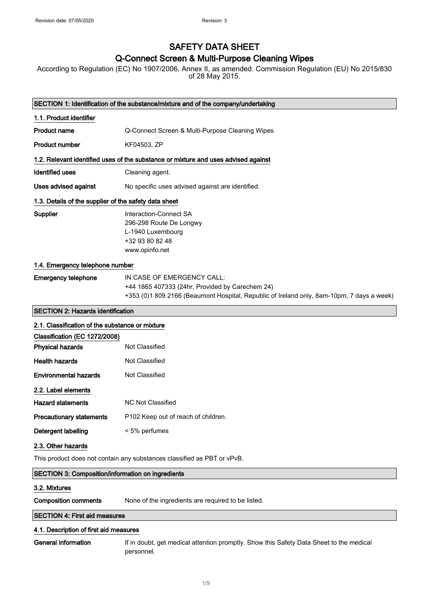# SAFETY DATA SHEET

# Q-Connect Screen & Multi-Purpose Cleaning Wipes

According to Regulation (EC) No 1907/2006, Annex II, as amended. Commission Regulation (EU) No 2015/830 of 28 May 2015.

| SECTION 1: Identification of the substance/mixture and of the company/undertaking |                                                                                                                                                                            |  |
|-----------------------------------------------------------------------------------|----------------------------------------------------------------------------------------------------------------------------------------------------------------------------|--|
| 1.1. Product identifier                                                           |                                                                                                                                                                            |  |
| <b>Product name</b>                                                               | Q-Connect Screen & Multi-Purpose Cleaning Wipes                                                                                                                            |  |
| <b>Product number</b>                                                             | KF04503, ZP                                                                                                                                                                |  |
|                                                                                   | 1.2. Relevant identified uses of the substance or mixture and uses advised against                                                                                         |  |
| Identified uses                                                                   | Cleaning agent.                                                                                                                                                            |  |
| Uses advised against                                                              | No specific uses advised against are identified.                                                                                                                           |  |
| 1.3. Details of the supplier of the safety data sheet                             |                                                                                                                                                                            |  |
| Supplier                                                                          | Interaction-Connect SA<br>296-298 Route De Longwy<br>L-1940 Luxembourg<br>+32 93 80 82 48<br>www.opinfo.net                                                                |  |
| 1.4. Emergency telephone number                                                   |                                                                                                                                                                            |  |
| <b>Emergency telephone</b>                                                        | IN CASE OF EMERGENCY CALL:<br>+44 1865 407333 (24hr, Provided by Carechem 24)<br>+353 (0)1 809 2166 (Beaumont Hospital, Republic of Ireland only, 8am-10pm, 7 days a week) |  |
| <b>SECTION 2: Hazards identification</b>                                          |                                                                                                                                                                            |  |
| 2.1. Classification of the substance or mixture                                   |                                                                                                                                                                            |  |
| Classification (EC 1272/2008)<br><b>Physical hazards</b>                          | Not Classified                                                                                                                                                             |  |
| <b>Health hazards</b>                                                             | Not Classified                                                                                                                                                             |  |
| <b>Environmental hazards</b>                                                      | Not Classified                                                                                                                                                             |  |
| 2.2. Label elements                                                               |                                                                                                                                                                            |  |
| <b>Hazard statements</b>                                                          | <b>NC Not Classified</b>                                                                                                                                                   |  |
| <b>Precautionary statements</b>                                                   | P102 Keep out of reach of children.                                                                                                                                        |  |
| <b>Detergent labelling</b>                                                        | < 5% perfumes                                                                                                                                                              |  |
| 2.3. Other hazards                                                                |                                                                                                                                                                            |  |
| This product does not contain any substances classified as PBT or vPvB.           |                                                                                                                                                                            |  |
| <b>SECTION 3: Composition/information on ingredients</b>                          |                                                                                                                                                                            |  |
| 3.2. Mixtures                                                                     |                                                                                                                                                                            |  |
| <b>Composition comments</b>                                                       | None of the ingredients are required to be listed.                                                                                                                         |  |
| <b>SECTION 4: First aid measures</b>                                              |                                                                                                                                                                            |  |
| 4.1. Description of first aid measures                                            |                                                                                                                                                                            |  |
| <b>General information</b>                                                        | If in doubt, get medical attention promptly. Show this Safety Data Sheet to the medical                                                                                    |  |

personnel.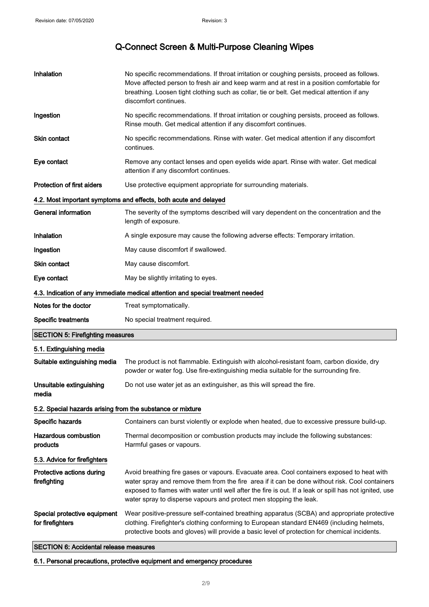| Inhalation                                                 | No specific recommendations. If throat irritation or coughing persists, proceed as follows.<br>Move affected person to fresh air and keep warm and at rest in a position comfortable for<br>breathing. Loosen tight clothing such as collar, tie or belt. Get medical attention if any<br>discomfort continues.                                                              |
|------------------------------------------------------------|------------------------------------------------------------------------------------------------------------------------------------------------------------------------------------------------------------------------------------------------------------------------------------------------------------------------------------------------------------------------------|
| Ingestion                                                  | No specific recommendations. If throat irritation or coughing persists, proceed as follows.<br>Rinse mouth. Get medical attention if any discomfort continues.                                                                                                                                                                                                               |
| Skin contact                                               | No specific recommendations. Rinse with water. Get medical attention if any discomfort<br>continues.                                                                                                                                                                                                                                                                         |
| Eye contact                                                | Remove any contact lenses and open eyelids wide apart. Rinse with water. Get medical<br>attention if any discomfort continues.                                                                                                                                                                                                                                               |
| <b>Protection of first aiders</b>                          | Use protective equipment appropriate for surrounding materials.                                                                                                                                                                                                                                                                                                              |
|                                                            | 4.2. Most important symptoms and effects, both acute and delayed                                                                                                                                                                                                                                                                                                             |
| <b>General information</b>                                 | The severity of the symptoms described will vary dependent on the concentration and the<br>length of exposure.                                                                                                                                                                                                                                                               |
| Inhalation                                                 | A single exposure may cause the following adverse effects: Temporary irritation.                                                                                                                                                                                                                                                                                             |
| Ingestion                                                  | May cause discomfort if swallowed.                                                                                                                                                                                                                                                                                                                                           |
| Skin contact                                               | May cause discomfort.                                                                                                                                                                                                                                                                                                                                                        |
| Eye contact                                                | May be slightly irritating to eyes.                                                                                                                                                                                                                                                                                                                                          |
|                                                            | 4.3. Indication of any immediate medical attention and special treatment needed                                                                                                                                                                                                                                                                                              |
| Notes for the doctor                                       | Treat symptomatically.                                                                                                                                                                                                                                                                                                                                                       |
| <b>Specific treatments</b>                                 | No special treatment required.                                                                                                                                                                                                                                                                                                                                               |
| <b>SECTION 5: Firefighting measures</b>                    |                                                                                                                                                                                                                                                                                                                                                                              |
| 5.1. Extinguishing media                                   |                                                                                                                                                                                                                                                                                                                                                                              |
| Suitable extinguishing media                               | The product is not flammable. Extinguish with alcohol-resistant foam, carbon dioxide, dry<br>powder or water fog. Use fire-extinguishing media suitable for the surrounding fire.                                                                                                                                                                                            |
| Unsuitable extinguishing<br>media                          | Do not use water jet as an extinguisher, as this will spread the fire.                                                                                                                                                                                                                                                                                                       |
| 5.2. Special hazards arising from the substance or mixture |                                                                                                                                                                                                                                                                                                                                                                              |
| Specific hazards                                           | Containers can burst violently or explode when heated, due to excessive pressure build-up.                                                                                                                                                                                                                                                                                   |
| <b>Hazardous combustion</b><br>products                    | Thermal decomposition or combustion products may include the following substances:<br>Harmful gases or vapours.                                                                                                                                                                                                                                                              |
| 5.3. Advice for firefighters                               |                                                                                                                                                                                                                                                                                                                                                                              |
| Protective actions during<br>firefighting                  | Avoid breathing fire gases or vapours. Evacuate area. Cool containers exposed to heat with<br>water spray and remove them from the fire area if it can be done without risk. Cool containers<br>exposed to flames with water until well after the fire is out. If a leak or spill has not ignited, use<br>water spray to disperse vapours and protect men stopping the leak. |
| Special protective equipment<br>for firefighters           | Wear positive-pressure self-contained breathing apparatus (SCBA) and appropriate protective<br>clothing. Firefighter's clothing conforming to European standard EN469 (including helmets,<br>protective boots and gloves) will provide a basic level of protection for chemical incidents.                                                                                   |

SECTION 6: Accidental release measures

6.1. Personal precautions, protective equipment and emergency procedures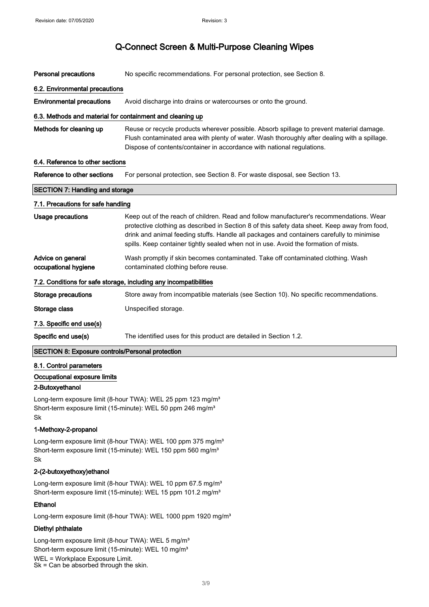| <b>Personal precautions</b>                                       | No specific recommendations. For personal protection, see Section 8.                                                                                                                                                                                                                                                                                                          |  |
|-------------------------------------------------------------------|-------------------------------------------------------------------------------------------------------------------------------------------------------------------------------------------------------------------------------------------------------------------------------------------------------------------------------------------------------------------------------|--|
| 6.2. Environmental precautions                                    |                                                                                                                                                                                                                                                                                                                                                                               |  |
| <b>Environmental precautions</b>                                  | Avoid discharge into drains or watercourses or onto the ground.                                                                                                                                                                                                                                                                                                               |  |
| 6.3. Methods and material for containment and cleaning up         |                                                                                                                                                                                                                                                                                                                                                                               |  |
| Methods for cleaning up                                           | Reuse or recycle products wherever possible. Absorb spillage to prevent material damage.<br>Flush contaminated area with plenty of water. Wash thoroughly after dealing with a spillage.<br>Dispose of contents/container in accordance with national regulations.                                                                                                            |  |
| 6.4. Reference to other sections                                  |                                                                                                                                                                                                                                                                                                                                                                               |  |
| Reference to other sections                                       | For personal protection, see Section 8. For waste disposal, see Section 13.                                                                                                                                                                                                                                                                                                   |  |
| <b>SECTION 7: Handling and storage</b>                            |                                                                                                                                                                                                                                                                                                                                                                               |  |
| 7.1. Precautions for safe handling                                |                                                                                                                                                                                                                                                                                                                                                                               |  |
| <b>Usage precautions</b>                                          | Keep out of the reach of children. Read and follow manufacturer's recommendations. Wear<br>protective clothing as described in Section 8 of this safety data sheet. Keep away from food,<br>drink and animal feeding stuffs. Handle all packages and containers carefully to minimise<br>spills. Keep container tightly sealed when not in use. Avoid the formation of mists. |  |
| Advice on general<br>occupational hygiene                         | Wash promptly if skin becomes contaminated. Take off contaminated clothing. Wash<br>contaminated clothing before reuse.                                                                                                                                                                                                                                                       |  |
| 7.2. Conditions for safe storage, including any incompatibilities |                                                                                                                                                                                                                                                                                                                                                                               |  |
| <b>Storage precautions</b>                                        | Store away from incompatible materials (see Section 10). No specific recommendations.                                                                                                                                                                                                                                                                                         |  |
| Storage class                                                     | Unspecified storage.                                                                                                                                                                                                                                                                                                                                                          |  |
| 7.3. Specific end use(s)                                          |                                                                                                                                                                                                                                                                                                                                                                               |  |
| Specific end use(s)                                               | The identified uses for this product are detailed in Section 1.2.                                                                                                                                                                                                                                                                                                             |  |
| <b>SECTION 8: Exposure controls/Personal protection</b>           |                                                                                                                                                                                                                                                                                                                                                                               |  |
| 8.1. Control parameters                                           |                                                                                                                                                                                                                                                                                                                                                                               |  |

### Occupational exposure limits

#### 2-Butoxyethanol

Long-term exposure limit (8-hour TWA): WEL 25 ppm 123 mg/m<sup>3</sup> Short-term exposure limit (15-minute): WEL 50 ppm 246 mg/m<sup>3</sup> Sk

### 1-Methoxy-2-propanol

Long-term exposure limit (8-hour TWA): WEL 100 ppm 375 mg/m<sup>3</sup> Short-term exposure limit (15-minute): WEL 150 ppm 560 mg/m<sup>3</sup> Sk

#### 2-(2-butoxyethoxy)ethanol

Long-term exposure limit (8-hour TWA): WEL 10 ppm 67.5 mg/m<sup>3</sup> Short-term exposure limit (15-minute): WEL 15 ppm 101.2 mg/m<sup>3</sup>

### Ethanol

Long-term exposure limit (8-hour TWA): WEL 1000 ppm 1920 mg/m<sup>3</sup>

### Diethyl phthalate

Long-term exposure limit (8-hour TWA): WEL 5 mg/m<sup>3</sup> Short-term exposure limit (15-minute): WEL 10 mg/m<sup>3</sup> WEL = Workplace Exposure Limit. Sk = Can be absorbed through the skin.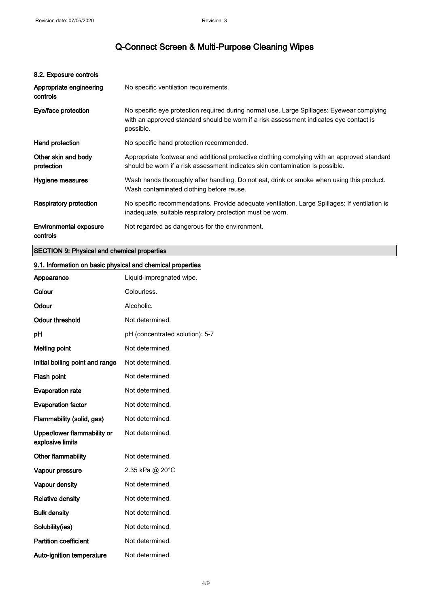| 8.2. Exposure controls                    |                                                                                                                                                                                                  |
|-------------------------------------------|--------------------------------------------------------------------------------------------------------------------------------------------------------------------------------------------------|
| Appropriate engineering<br>controls       | No specific ventilation requirements.                                                                                                                                                            |
| Eye/face protection                       | No specific eye protection required during normal use. Large Spillages: Eyewear complying<br>with an approved standard should be worn if a risk assessment indicates eye contact is<br>possible. |
| Hand protection                           | No specific hand protection recommended.                                                                                                                                                         |
| Other skin and body<br>protection         | Appropriate footwear and additional protective clothing complying with an approved standard<br>should be worn if a risk assessment indicates skin contamination is possible.                     |
| Hygiene measures                          | Wash hands thoroughly after handling. Do not eat, drink or smoke when using this product.<br>Wash contaminated clothing before reuse.                                                            |
| <b>Respiratory protection</b>             | No specific recommendations. Provide adequate ventilation. Large Spillages: If ventilation is<br>inadequate, suitable respiratory protection must be worn.                                       |
| <b>Environmental exposure</b><br>controls | Not regarded as dangerous for the environment.                                                                                                                                                   |

### SECTION 9: Physical and chemical properties

### 9.1. Information on basic physical and chemical properties

| Appearance                                      | Liquid-impregnated wipe.        |
|-------------------------------------------------|---------------------------------|
| Colour                                          | Colourless.                     |
| Odour                                           | Alcoholic.                      |
| <b>Odour threshold</b>                          | Not determined.                 |
| pH                                              | pH (concentrated solution): 5-7 |
| <b>Melting point</b>                            | Not determined.                 |
| Initial boiling point and range                 | Not determined.                 |
| Flash point                                     | Not determined.                 |
| <b>Evaporation rate</b>                         | Not determined.                 |
| <b>Evaporation factor</b>                       | Not determined.                 |
| Flammability (solid, gas)                       | Not determined.                 |
| Upper/lower flammability or<br>explosive limits | Not determined.                 |
| Other flammability                              | Not determined.                 |
| Vapour pressure                                 | 2.35 kPa @ 20°C                 |
| Vapour density                                  | Not determined.                 |
| <b>Relative density</b>                         | Not determined.                 |
| <b>Bulk density</b>                             | Not determined.                 |
| Solubility(ies)                                 | Not determined.                 |
| <b>Partition coefficient</b>                    | Not determined.                 |
| Auto-ignition temperature                       | Not determined.                 |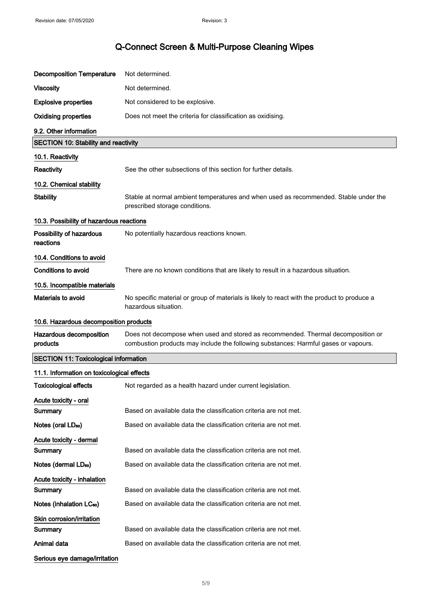| <b>Decomposition Temperature</b>             | Not determined.                                                                                                                                                         |  |
|----------------------------------------------|-------------------------------------------------------------------------------------------------------------------------------------------------------------------------|--|
| <b>Viscosity</b>                             | Not determined.                                                                                                                                                         |  |
| <b>Explosive properties</b>                  | Not considered to be explosive.                                                                                                                                         |  |
| <b>Oxidising properties</b>                  | Does not meet the criteria for classification as oxidising.                                                                                                             |  |
| 9.2. Other information                       |                                                                                                                                                                         |  |
| <b>SECTION 10: Stability and reactivity</b>  |                                                                                                                                                                         |  |
| 10.1. Reactivity                             |                                                                                                                                                                         |  |
| Reactivity                                   | See the other subsections of this section for further details.                                                                                                          |  |
| 10.2. Chemical stability                     |                                                                                                                                                                         |  |
| <b>Stability</b>                             | Stable at normal ambient temperatures and when used as recommended. Stable under the<br>prescribed storage conditions.                                                  |  |
| 10.3. Possibility of hazardous reactions     |                                                                                                                                                                         |  |
| Possibility of hazardous<br>reactions        | No potentially hazardous reactions known.                                                                                                                               |  |
| 10.4. Conditions to avoid                    |                                                                                                                                                                         |  |
| <b>Conditions to avoid</b>                   | There are no known conditions that are likely to result in a hazardous situation.                                                                                       |  |
| 10.5. Incompatible materials                 |                                                                                                                                                                         |  |
| <b>Materials to avoid</b>                    | No specific material or group of materials is likely to react with the product to produce a<br>hazardous situation.                                                     |  |
| 10.6. Hazardous decomposition products       |                                                                                                                                                                         |  |
|                                              |                                                                                                                                                                         |  |
| Hazardous decomposition<br>products          | Does not decompose when used and stored as recommended. Thermal decomposition or<br>combustion products may include the following substances: Harmful gases or vapours. |  |
| <b>SECTION 11: Toxicological information</b> |                                                                                                                                                                         |  |
| 11.1. Information on toxicological effects   |                                                                                                                                                                         |  |
| <b>Toxicological effects</b>                 | Not regarded as a health hazard under current legislation.                                                                                                              |  |
| Acute toxicity - oral                        |                                                                                                                                                                         |  |
| <b>Summary</b>                               | Based on available data the classification criteria are not met.                                                                                                        |  |
| Notes (oral LD <sub>50</sub> )               | Based on available data the classification criteria are not met.                                                                                                        |  |
| Acute toxicity - dermal                      |                                                                                                                                                                         |  |
| Summary                                      | Based on available data the classification criteria are not met.                                                                                                        |  |
| Notes (dermal LD <sub>50</sub> )             | Based on available data the classification criteria are not met.                                                                                                        |  |
| Acute toxicity - inhalation                  |                                                                                                                                                                         |  |
| Summary                                      | Based on available data the classification criteria are not met.                                                                                                        |  |
| Notes (inhalation LC <sub>50</sub> )         | Based on available data the classification criteria are not met.                                                                                                        |  |
| Skin corrosion/irritation                    |                                                                                                                                                                         |  |
| Summary<br>Animal data                       | Based on available data the classification criteria are not met.<br>Based on available data the classification criteria are not met.                                    |  |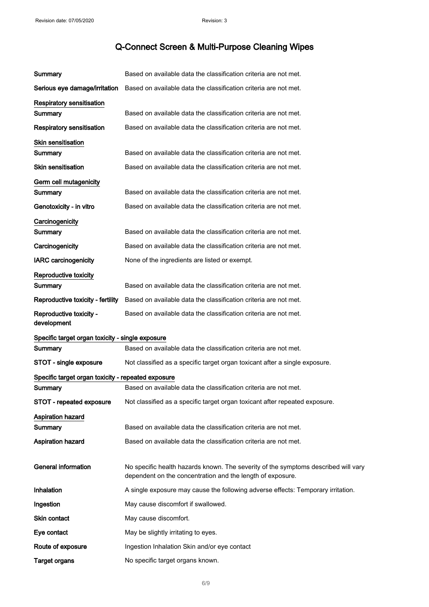| Summary                                            | Based on available data the classification criteria are not met.                   |
|----------------------------------------------------|------------------------------------------------------------------------------------|
| Serious eye damage/irritation                      | Based on available data the classification criteria are not met.                   |
| <b>Respiratory sensitisation</b>                   |                                                                                    |
| Summary                                            | Based on available data the classification criteria are not met.                   |
| <b>Respiratory sensitisation</b>                   | Based on available data the classification criteria are not met.                   |
| <b>Skin sensitisation</b>                          |                                                                                    |
| Summary                                            | Based on available data the classification criteria are not met.                   |
| <b>Skin sensitisation</b>                          | Based on available data the classification criteria are not met.                   |
| Germ cell mutagenicity                             |                                                                                    |
| Summary                                            | Based on available data the classification criteria are not met.                   |
| Genotoxicity - in vitro                            | Based on available data the classification criteria are not met.                   |
| Carcinogenicity                                    |                                                                                    |
| Summary                                            | Based on available data the classification criteria are not met.                   |
| Carcinogenicity                                    | Based on available data the classification criteria are not met.                   |
| <b>IARC</b> carcinogenicity                        | None of the ingredients are listed or exempt.                                      |
| Reproductive toxicity                              |                                                                                    |
| Summary                                            | Based on available data the classification criteria are not met.                   |
| Reproductive toxicity - fertility                  | Based on available data the classification criteria are not met.                   |
| Reproductive toxicity -<br>development             | Based on available data the classification criteria are not met.                   |
| Specific target organ toxicity - single exposure   |                                                                                    |
| Summary                                            | Based on available data the classification criteria are not met.                   |
| STOT - single exposure                             | Not classified as a specific target organ toxicant after a single exposure.        |
| Specific target organ toxicity - repeated exposure |                                                                                    |
| Summary                                            | Based on available data the classification criteria are not met.                   |
| STOT - repeated exposure                           | Not classified as a specific target organ toxicant after repeated exposure.        |
| <b>Aspiration hazard</b>                           |                                                                                    |
| Summary                                            | Based on available data the classification criteria are not met.                   |
| <b>Aspiration hazard</b>                           | Based on available data the classification criteria are not met.                   |
| <b>General information</b>                         | No specific health hazards known. The severity of the symptoms described will vary |
|                                                    | dependent on the concentration and the length of exposure.                         |
| Inhalation                                         | A single exposure may cause the following adverse effects: Temporary irritation.   |
| Ingestion                                          | May cause discomfort if swallowed.                                                 |
| Skin contact                                       | May cause discomfort.                                                              |
|                                                    |                                                                                    |
| Eye contact                                        | May be slightly irritating to eyes.                                                |
| Route of exposure                                  | Ingestion Inhalation Skin and/or eye contact                                       |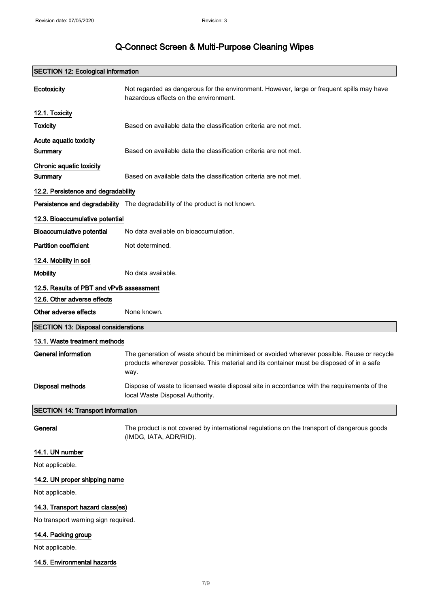|                                            | <b>SECTION 12: Ecological information</b>                                                                                          |
|--------------------------------------------|------------------------------------------------------------------------------------------------------------------------------------|
| Ecotoxicity                                | Not regarded as dangerous for the environment. However, large or frequent spills may have<br>hazardous effects on the environment. |
| 12.1. Toxicity                             |                                                                                                                                    |
| <b>Toxicity</b>                            | Based on available data the classification criteria are not met.                                                                   |
| Acute aquatic toxicity<br>Summary          | Based on available data the classification criteria are not met.                                                                   |
| Chronic aquatic toxicity                   |                                                                                                                                    |
| Summary                                    | Based on available data the classification criteria are not met.                                                                   |
| 12.2. Persistence and degradability        |                                                                                                                                    |
|                                            | Persistence and degradability The degradability of the product is not known.                                                       |
| 12.3. Bioaccumulative potential            |                                                                                                                                    |
| <b>Bioaccumulative potential</b>           | No data available on bioaccumulation.                                                                                              |
| <b>Partition coefficient</b>               | Not determined.                                                                                                                    |
| 12.4. Mobility in soil                     |                                                                                                                                    |
| <b>Mobility</b>                            | No data available.                                                                                                                 |
| 12.5. Results of PBT and vPvB assessment   |                                                                                                                                    |
| 12.6. Other adverse effects                |                                                                                                                                    |
| Other adverse effects                      | None known.                                                                                                                        |
| <b>SECTION 13: Disposal considerations</b> |                                                                                                                                    |
| 13.1. Waste treatment methods              |                                                                                                                                    |
| <b>General information</b>                 | The generation of waste should be minimised or avoided wherever possible. Reuse or recycle                                         |
|                                            | products wherever possible. This material and its container must be disposed of in a safe<br>way.                                  |
| <b>Disposal methods</b>                    | Dispose of waste to licensed waste disposal site in accordance with the requirements of the<br>local Waste Disposal Authority.     |
| <b>SECTION 14: Transport information</b>   |                                                                                                                                    |
| General                                    | The product is not covered by international regulations on the transport of dangerous goods<br>(IMDG, IATA, ADR/RID).              |
| 14.1. UN number                            |                                                                                                                                    |
| Not applicable.                            |                                                                                                                                    |
| 14.2. UN proper shipping name              |                                                                                                                                    |
| Not applicable.                            |                                                                                                                                    |
| 14.3. Transport hazard class(es)           |                                                                                                                                    |
| No transport warning sign required.        |                                                                                                                                    |

### 14.5. Environmental hazards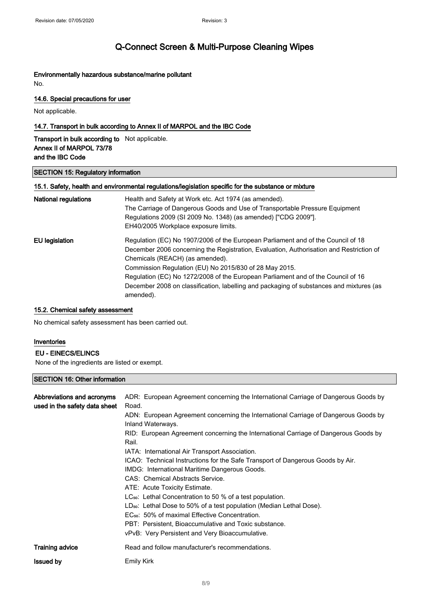### Environmentally hazardous substance/marine pollutant

No.

### 14.6. Special precautions for user

Not applicable.

### 14.7. Transport in bulk according to Annex II of MARPOL and the IBC Code

Transport in bulk according to Not applicable. Annex II of MARPOL 73/78 and the IBC Code

#### SECTION 15: Regulatory information

### 15.1. Safety, health and environmental regulations/legislation specific for the substance or mixture

| National regulations | Health and Safety at Work etc. Act 1974 (as amended).                                   |
|----------------------|-----------------------------------------------------------------------------------------|
|                      | The Carriage of Dangerous Goods and Use of Transportable Pressure Equipment             |
|                      | Regulations 2009 (SI 2009 No. 1348) (as amended) ["CDG 2009"].                          |
|                      | EH40/2005 Workplace exposure limits.                                                    |
| EU legislation       | Regulation (EC) No 1907/2006 of the European Parliament and of the Council of 18        |
|                      | December 2006 concerning the Registration, Evaluation, Authorisation and Restriction of |
|                      | Chemicals (REACH) (as amended).                                                         |
|                      | Commission Regulation (EU) No 2015/830 of 28 May 2015.                                  |
|                      | Regulation (EC) No 1272/2008 of the European Parliament and of the Council of 16        |
|                      | December 2008 on classification, labelling and packaging of substances and mixtures (as |
|                      | amended).                                                                               |

#### 15.2. Chemical safety assessment

No chemical safety assessment has been carried out.

#### Inventories

#### EU - EINECS/ELINCS

None of the ingredients are listed or exempt.

### SECTION 16: Other information

| Abbreviations and acronyms<br>used in the safety data sheet | ADR: European Agreement concerning the International Carriage of Dangerous Goods by<br>Road.<br>ADN: European Agreement concerning the International Carriage of Dangerous Goods by<br>Inland Waterways.<br>RID: European Agreement concerning the International Carriage of Dangerous Goods by<br>Rail.<br>IATA: International Air Transport Association.<br>ICAO: Technical Instructions for the Safe Transport of Dangerous Goods by Air.<br>IMDG: International Maritime Dangerous Goods.<br>CAS: Chemical Abstracts Service.<br>ATE: Acute Toxicity Estimate.<br>$LC_{50}$ : Lethal Concentration to 50 % of a test population.<br>$LD_{50}$ : Lethal Dose to 50% of a test population (Median Lethal Dose).<br>EC <sub>50</sub> : 50% of maximal Effective Concentration.<br>PBT: Persistent, Bioaccumulative and Toxic substance.<br>vPvB: Very Persistent and Very Bioaccumulative. |
|-------------------------------------------------------------|---------------------------------------------------------------------------------------------------------------------------------------------------------------------------------------------------------------------------------------------------------------------------------------------------------------------------------------------------------------------------------------------------------------------------------------------------------------------------------------------------------------------------------------------------------------------------------------------------------------------------------------------------------------------------------------------------------------------------------------------------------------------------------------------------------------------------------------------------------------------------------------------|
| <b>Training advice</b>                                      | Read and follow manufacturer's recommendations.                                                                                                                                                                                                                                                                                                                                                                                                                                                                                                                                                                                                                                                                                                                                                                                                                                             |
| <b>Issued by</b>                                            | <b>Emily Kirk</b>                                                                                                                                                                                                                                                                                                                                                                                                                                                                                                                                                                                                                                                                                                                                                                                                                                                                           |